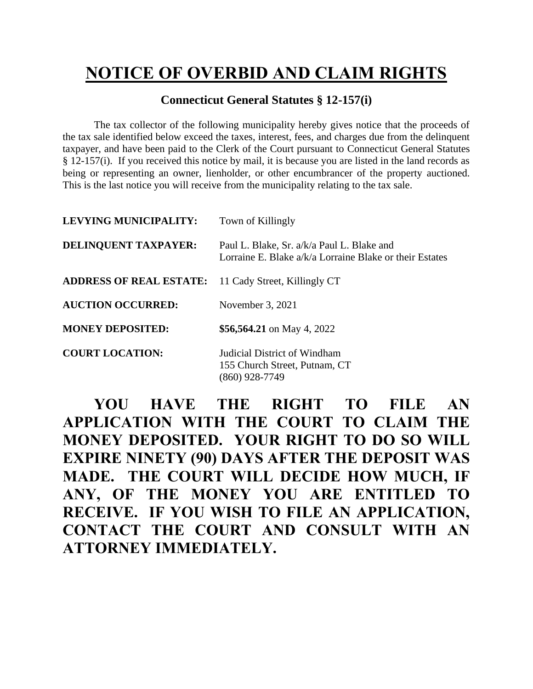## **NOTICE OF OVERBID AND CLAIM RIGHTS**

## **Connecticut General Statutes § 12-157(i)**

The tax collector of the following municipality hereby gives notice that the proceeds of the tax sale identified below exceed the taxes, interest, fees, and charges due from the delinquent taxpayer, and have been paid to the Clerk of the Court pursuant to Connecticut General Statutes § 12-157(i). If you received this notice by mail, it is because you are listed in the land records as being or representing an owner, lienholder, or other encumbrancer of the property auctioned. This is the last notice you will receive from the municipality relating to the tax sale.

| <b>LEVYING MUNICIPALITY:</b>   | Town of Killingly                                                                                     |
|--------------------------------|-------------------------------------------------------------------------------------------------------|
| DELINQUENT TAXPAYER:           | Paul L. Blake, Sr. a/k/a Paul L. Blake and<br>Lorraine E. Blake a/k/a Lorraine Blake or their Estates |
| <b>ADDRESS OF REAL ESTATE:</b> | 11 Cady Street, Killingly CT                                                                          |
| <b>AUCTION OCCURRED:</b>       | November 3, 2021                                                                                      |
| <b>MONEY DEPOSITED:</b>        | \$56,564.21 on May 4, 2022                                                                            |
| <b>COURT LOCATION:</b>         | Judicial District of Windham<br>155 Church Street, Putnam, CT<br>(860) 928-7749                       |

**YOU HAVE THE RIGHT TO FILE AN APPLICATION WITH THE COURT TO CLAIM THE MONEY DEPOSITED. YOUR RIGHT TO DO SO WILL EXPIRE NINETY (90) DAYS AFTER THE DEPOSIT WAS MADE. THE COURT WILL DECIDE HOW MUCH, IF ANY, OF THE MONEY YOU ARE ENTITLED TO RECEIVE. IF YOU WISH TO FILE AN APPLICATION, CONTACT THE COURT AND CONSULT WITH AN ATTORNEY IMMEDIATELY.**